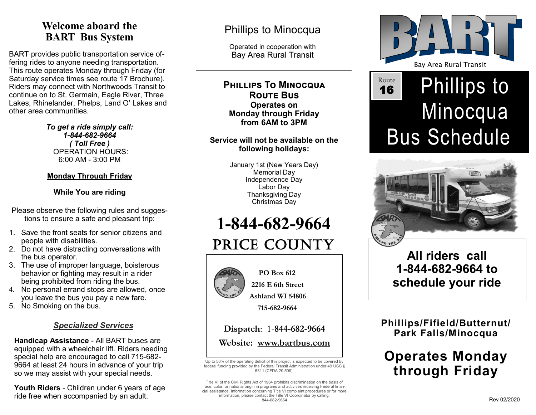## **Welcome aboard the BART Bus System**

BART provides public transportation service offering rides to anyone needing transportation. This route operates Monday through Friday (for Saturday service times see route 17 Brochure). Riders may connect with Northwoods Transit to continue on to St. Germain, Eagle River, Three Lakes, Rhinelander, Phelps, Land O' Lakes and other area communities.

> *To get a ride simply call: 1-844-682-9664 ( Toll Free )* OPERATION HOURS: 6:00 AM - 3:00 PM

#### **Monday Through Friday**

#### **While You are riding**

Please observe the following rules and suggestions to ensure a safe and pleasant trip:

- 1. Save the front seats for senior citizens and people with disabilities.
- 2. Do not have distracting conversations with the bus operator.
- 3. The use of improper language, boisterous behavior or fighting may result in a rider being prohibited from riding the bus.
- 4. No personal errand stops are allowed, once you leave the bus you pay a new fare.
- 5. No Smoking on the bus.

#### *Specialized Services*

**Handicap Assistance** - All BART buses are equipped with a wheelchair lift. Riders needing special help are encouraged to call 715-682- 9664 at least 24 hours in advance of your trip so we may assist with your special needs.

**Youth Riders** - Children under 6 years of age ride free when accompanied by an adult.

## Phillips to Minocqua

Operated in cooperation with Bay Area Rural Transit

**Phillips To Minocqua Route Bus Operates on Monday through Friday from 6AM to 3PM**

#### **Service will not be available on the following holidays:**

January 1st (New Years Day) Memorial Day Independence Day Labor Day Thanksgiving Day Christmas Day

# **1-844-682-9664**

## PRICE COUNTY



 **PO Box 612 2216 E 6th Street**

 **Ashland WI 54806**

 **715-682-9664**

# **Dispatch**: 1-**844-682-9664**

**Website: www.bartbus.com**

Up to 50% of the operating deficit of this project is expected to be covered by federal funding provided by the Federal Transit Administration under 49 USC § 5311 (CFDA 20.509).

Title VI of the Civil Rights Act of 1964 prohibits discrimination on the basis of race, color, or national origin in programs and activities receiving Federal financial assistance. Information concerning Title VI complaint procedures or for more information, please contact the Title VI Coordinator by calling: 844-682-9664



## Phillips to Minocqua Bus Schedule Route 16



## **All riders call 1-844-682-9664 to schedule your ride**

## **Phillips/Fifield/Butternut/ Park Falls/Minocqua**

## **Operates Monday through Friday**